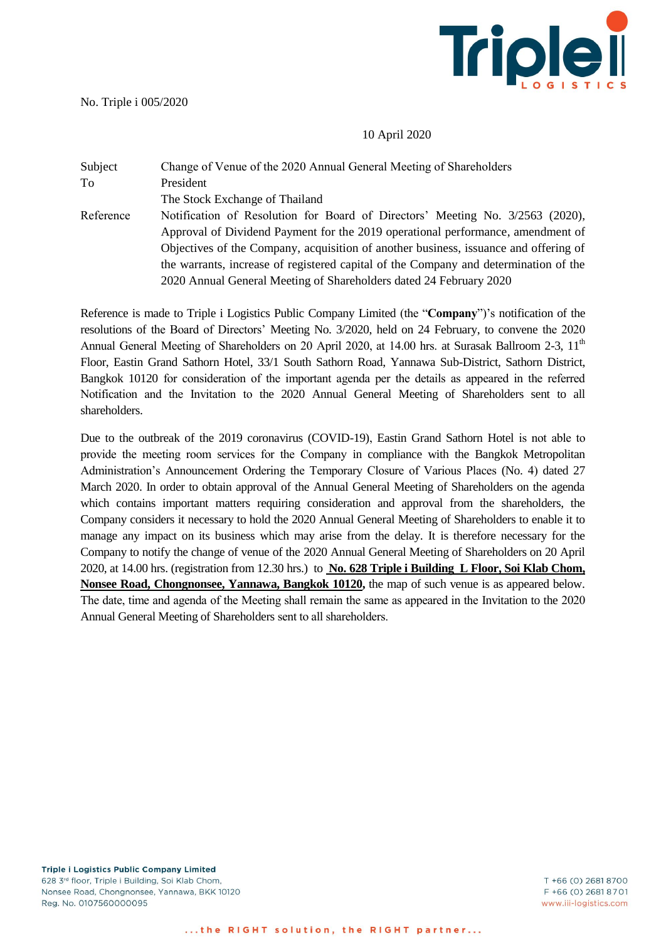

No. Triple i 005/2020

## 10 April 2020

## Subject Change of Venue of the 2020 Annual General Meeting of Shareholders To President The Stock Exchange of Thailand Reference Notification of Resolution for Board of Directors' Meeting No. 3/2563 (2020), Approval of Dividend Payment for the 2019 operational performance, amendment of Objectives of the Company, acquisition of another business, issuance and offering of the warrants, increase of registered capital of the Company and determination of the 2020 Annual General Meeting of Shareholders dated 24 February 2020

Reference is made to Triple i Logistics Public Company Limited (the "**Company**")'s notification of the resolutions of the Board of Directors' Meeting No. 3/2020, held on 24 February, to convene the 2020 Annual General Meeting of Shareholders on 20 April 2020, at 14.00 hrs. at Surasak Ballroom 2-3, 11<sup>th</sup> Floor, Eastin Grand Sathorn Hotel, 33/1 South Sathorn Road, Yannawa Sub-District, Sathorn District, Bangkok 10120 for consideration of the important agenda per the details as appeared in the referred Notification and the Invitation to the 2020 Annual General Meeting of Shareholders sent to all shareholders.

Due to the outbreak of the 2019 coronavirus (COVID-19), Eastin Grand Sathorn Hotel is not able to provide the meeting room services for the Company in compliance with the Bangkok Metropolitan Administration's Announcement Ordering the Temporary Closure of Various Places (No. 4) dated 27 March 2020. In order to obtain approval of the Annual General Meeting of Shareholders on the agenda which contains important matters requiring consideration and approval from the shareholders, the Company considers it necessary to hold the 2020 Annual General Meeting of Shareholders to enable it to manage any impact on its business which may arise from the delay. It is therefore necessary for the Company to notify the change of venue of the 2020 Annual General Meeting of Shareholders on 20 April 2020, at 14.00 hrs. (registration from 12.30 hrs.) to **No. 628 Triple i Building L Floor, Soi Klab Chom, Nonsee Road, Chongnonsee, Yannawa, Bangkok 10120,** the map of such venue is as appeared below. The date, time and agenda of the Meeting shall remain the same as appeared in the Invitation to the 2020 Annual General Meeting of Shareholders sent to all shareholders.

**Triple i Logistics Public Company Limited** 628 3rd floor, Triple i Building, Soi Klab Chom, Nonsee Road, Chongnonsee, Yannawa, BKK 10120 Reg. No. 0107560000095

T +66 (0) 2681 8700 F +66 (0) 2681 8701 www.iii-logistics.com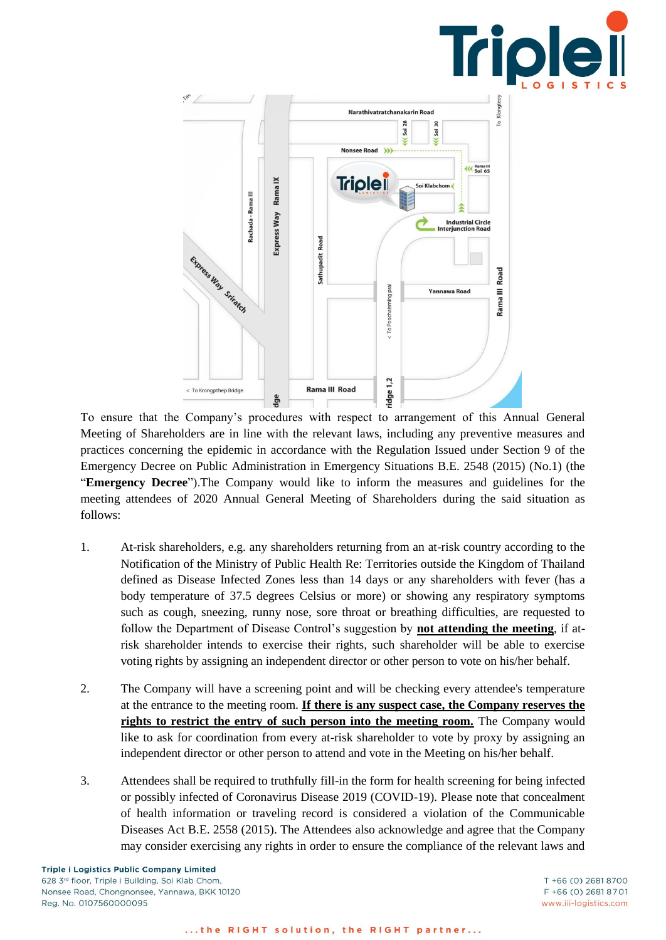



To ensure that the Company's procedures with respect to arrangement of this Annual General Meeting of Shareholders are in line with the relevant laws, including any preventive measures and practices concerning the epidemic in accordance with the Regulation Issued under Section 9 of the Emergency Decree on Public Administration in Emergency Situations B.E. 2548 (2015) (No.1) (the "**Emergency Decree**").The Company would like to inform the measures and guidelines for the meeting attendees of 2020 Annual General Meeting of Shareholders during the said situation as follows:

- 1. At-risk shareholders, e.g. any shareholders returning from an at-risk country according to the Notification of the Ministry of Public Health Re: Territories outside the Kingdom of Thailand defined as Disease Infected Zones less than 14 days or any shareholders with fever (has a body temperature of 37.5 degrees Celsius or more) or showing any respiratory symptoms such as cough, sneezing, runny nose, sore throat or breathing difficulties, are requested to follow the Department of Disease Control's suggestion by **not attending the meeting**, if atrisk shareholder intends to exercise their rights, such shareholder will be able to exercise voting rights by assigning an independent director or other person to vote on his/her behalf.
- 2. The Company will have a screening point and will be checking every attendee's temperature at the entrance to the meeting room. **If there is any suspect case, the Company reserves the rights to restrict the entry of such person into the meeting room.** The Company would like to ask for coordination from every at-risk shareholder to vote by proxy by assigning an independent director or other person to attend and vote in the Meeting on his/her behalf.
- 3. Attendees shall be required to truthfully fill-in the form for health screening for being infected or possibly infected of Coronavirus Disease 2019 (COVID-19). Please note that concealment of health information or traveling record is considered a violation of the Communicable Diseases Act B.E. 2558 (2015). The Attendees also acknowledge and agree that the Company may consider exercising any rights in order to ensure the compliance of the relevant laws and